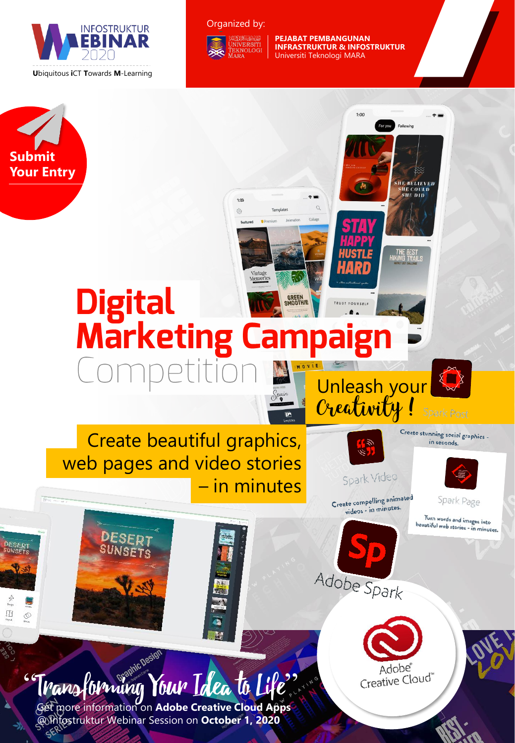

#### Organized by:



**PEJABAT PEMBANGUNAN INFRASTRUKTUR & INFOSTRUKTUR** Universiti Teknologi MARA

 $1:00$ 

For you Following

**SHE BÉLIEVED<br>SHE COULD<br>SHE DID** 

**THE BEST**<br>HIKING TRAIL



 $\begin{array}{c}\n\hline\n\text{Re}\n\\ \hline\n\end{array}$  $^{\circ}$ 



 $1:00$ 8

Templates

## Create beautiful graphics, web pages and video stories – in minutes

**DESED1** 

Create compelling animated videos - in minutes.

Adobe Spark

Spark Video

Spark Page

Create stunning social graphics in seconds.

Turn words and images into<br>beautiful web stories - in minutes.

Transforming Your Idea to Life" Get more information on **Adobe Creative Cloud Apps**  @ Infostruktur Webinar Session on **October 1, 2020**

**IC Design**